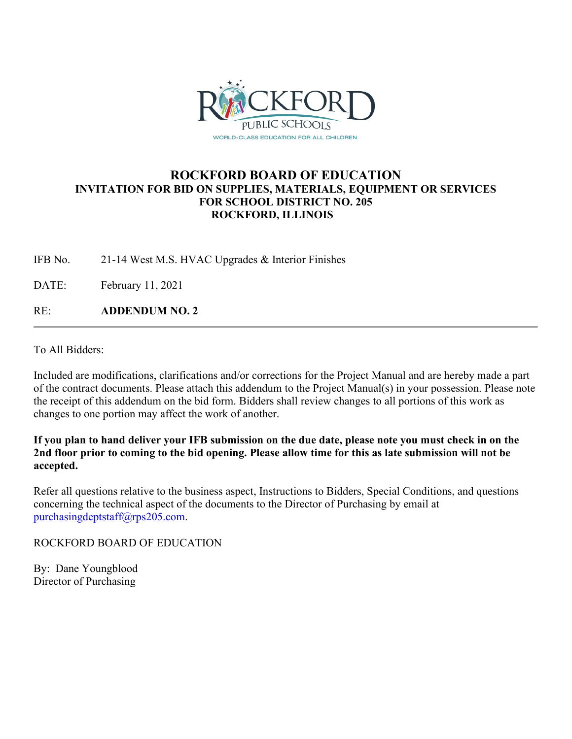

# **ROCKFORD BOARD OF EDUCATION INVITATION FOR BID ON SUPPLIES, MATERIALS, EQUIPMENT OR SERVICES FOR SCHOOL DISTRICT NO. 205 ROCKFORD, ILLINOIS**

IFB No. 21-14 West M.S. HVAC Upgrades & Interior Finishes

DATE: February 11, 2021

RE: **ADDENDUM NO. 2**

To All Bidders:

Included are modifications, clarifications and/or corrections for the Project Manual and are hereby made a part of the contract documents. Please attach this addendum to the Project Manual(s) in your possession. Please note the receipt of this addendum on the bid form. Bidders shall review changes to all portions of this work as changes to one portion may affect the work of another.

**If you plan to hand deliver your IFB submission on the due date, please note you must check in on the 2nd floor prior to coming to the bid opening. Please allow time for this as late submission will not be accepted.**

Refer all questions relative to the business aspect, Instructions to Bidders, Special Conditions, and questions concerning the technical aspect of the documents to the Director of Purchasing by email at [purchasingdeptstaff@rps205.com.](mailto:purchasingdeptstaff@rps205.com)

ROCKFORD BOARD OF EDUCATION

By: Dane Youngblood Director of Purchasing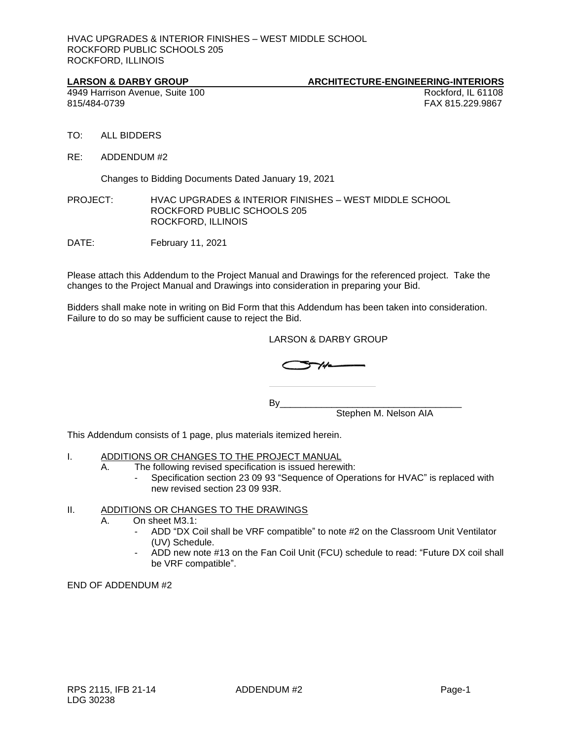HVAC UPGRADES & INTERIOR FINISHES – WEST MIDDLE SCHOOL ROCKFORD PUBLIC SCHOOLS 205 ROCKFORD, ILLINOIS

### LARSON & DARBY GROUP ARCHITECTURE-ENGINEERING-INTERIORS

4949 Harrison Avenue, Suite 100 **Rockford, IL 61108** Rockford, IL 61108 815/484-0739 FAX 815.229.9867

- TO: ALL BIDDERS
- RE: ADDENDUM #2

Changes to Bidding Documents Dated January 19, 2021

PROJECT: HVAC UPGRADES & INTERIOR FINISHES – WEST MIDDLE SCHOOL ROCKFORD PUBLIC SCHOOLS 205 ROCKFORD, ILLINOIS

DATE: February 11, 2021

Please attach this Addendum to the Project Manual and Drawings for the referenced project. Take the changes to the Project Manual and Drawings into consideration in preparing your Bid.

Bidders shall make note in writing on Bid Form that this Addendum has been taken into consideration. Failure to do so may be sufficient cause to reject the Bid.

LARSON & DARBY GROUP

$$
\bigcirc \mathcal{F} / \mathcal{F}
$$

 $\mathsf{B}\mathsf{v}$ Stephen M. Nelson AIA

This Addendum consists of 1 page, plus materials itemized herein.

## I. ADDITIONS OR CHANGES TO THE PROJECT MANUAL

- A. The following revised specification is issued herewith:
	- Specification section 23 09 93 "Sequence of Operations for HVAC" is replaced with new revised section 23 09 93R.

### II. ADDITIONS OR CHANGES TO THE DRAWINGS

- A. On sheet M3.1:
	- ADD "DX Coil shall be VRF compatible" to note #2 on the Classroom Unit Ventilator (UV) Schedule.
	- ADD new note #13 on the Fan Coil Unit (FCU) schedule to read: "Future DX coil shall be VRF compatible".

END OF ADDENDUM #2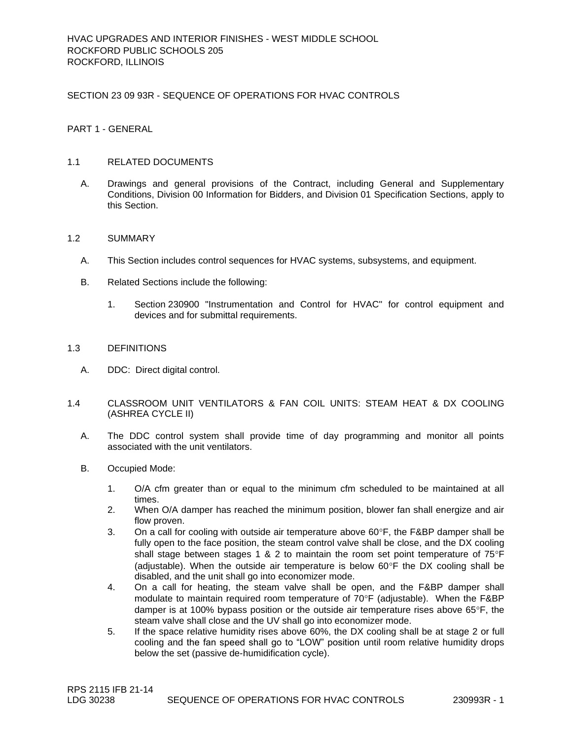SECTION 23 09 93R - SEQUENCE OF OPERATIONS FOR HVAC CONTROLS

PART 1 - GENERAL

### 1.1 RELATED DOCUMENTS

A. Drawings and general provisions of the Contract, including General and Supplementary Conditions, Division 00 Information for Bidders, and Division 01 Specification Sections, apply to this Section.

#### 1.2 SUMMARY

- A. This Section includes control sequences for HVAC systems, subsystems, and equipment.
- B. Related Sections include the following:
	- 1. Section 230900 "Instrumentation and Control for HVAC" for control equipment and devices and for submittal requirements.

#### 1.3 DEFINITIONS

- A. DDC: Direct digital control.
- 1.4 CLASSROOM UNIT VENTILATORS & FAN COIL UNITS: STEAM HEAT & DX COOLING (ASHREA CYCLE II)
	- A. The DDC control system shall provide time of day programming and monitor all points associated with the unit ventilators.
	- B. Occupied Mode:
		- 1. O/A cfm greater than or equal to the minimum cfm scheduled to be maintained at all times.
		- 2. When O/A damper has reached the minimum position, blower fan shall energize and air flow proven.
		- 3. On a call for cooling with outside air temperature above  $60^{\circ}F$ , the F&BP damper shall be fully open to the face position, the steam control valve shall be close, and the DX cooling shall stage between stages 1 & 2 to maintain the room set point temperature of  $75^{\circ}F$ (adjustable). When the outside air temperature is below  $60^{\circ}$ F the DX cooling shall be disabled, and the unit shall go into economizer mode.
		- 4. On a call for heating, the steam valve shall be open, and the F&BP damper shall modulate to maintain required room temperature of 70°F (adjustable). When the F&BP damper is at 100% bypass position or the outside air temperature rises above  $65^{\circ}$ F, the steam valve shall close and the UV shall go into economizer mode.
		- 5. If the space relative humidity rises above 60%, the DX cooling shall be at stage 2 or full cooling and the fan speed shall go to "LOW" position until room relative humidity drops below the set (passive de-humidification cycle).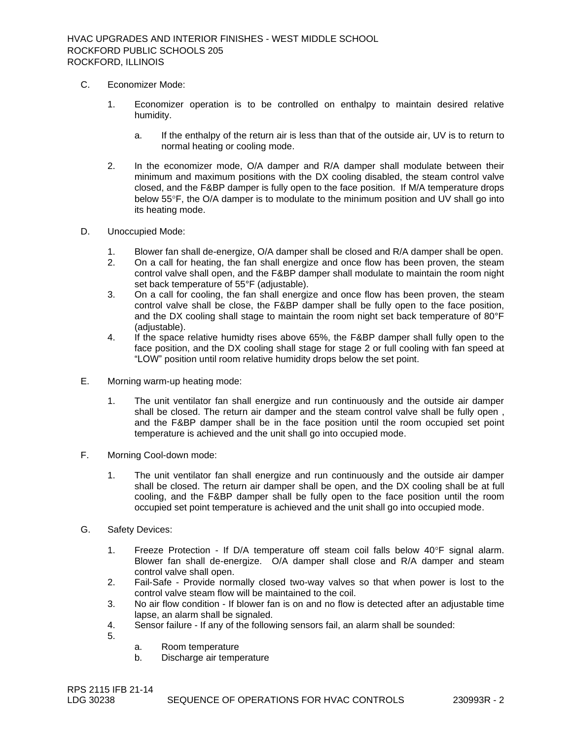- C. Economizer Mode:
	- 1. Economizer operation is to be controlled on enthalpy to maintain desired relative humidity.
		- a. If the enthalpy of the return air is less than that of the outside air, UV is to return to normal heating or cooling mode.
	- 2. In the economizer mode, O/A damper and R/A damper shall modulate between their minimum and maximum positions with the DX cooling disabled, the steam control valve closed, and the F&BP damper is fully open to the face position. If M/A temperature drops below 55°F, the O/A damper is to modulate to the minimum position and UV shall go into its heating mode.
- D. Unoccupied Mode:
	- 1. Blower fan shall de-energize, O/A damper shall be closed and R/A damper shall be open.
	- 2. On a call for heating, the fan shall energize and once flow has been proven, the steam control valve shall open, and the F&BP damper shall modulate to maintain the room night set back temperature of 55°F (adjustable).
	- 3. On a call for cooling, the fan shall energize and once flow has been proven, the steam control valve shall be close, the F&BP damper shall be fully open to the face position, and the DX cooling shall stage to maintain the room night set back temperature of 80°F (adjustable).
	- 4. If the space relative humidty rises above 65%, the F&BP damper shall fully open to the face position, and the DX cooling shall stage for stage 2 or full cooling with fan speed at "LOW" position until room relative humidity drops below the set point.
- E. Morning warm-up heating mode:
	- 1. The unit ventilator fan shall energize and run continuously and the outside air damper shall be closed. The return air damper and the steam control valve shall be fully open , and the F&BP damper shall be in the face position until the room occupied set point temperature is achieved and the unit shall go into occupied mode.
- F. Morning Cool-down mode:
	- 1. The unit ventilator fan shall energize and run continuously and the outside air damper shall be closed. The return air damper shall be open, and the DX cooling shall be at full cooling, and the F&BP damper shall be fully open to the face position until the room occupied set point temperature is achieved and the unit shall go into occupied mode.
- G. Safety Devices:
	- 1. Freeze Protection If D/A temperature off steam coil falls below  $40^{\circ}$ F signal alarm. Blower fan shall de-energize. O/A damper shall close and R/A damper and steam control valve shall open.
	- 2. Fail-Safe Provide normally closed two-way valves so that when power is lost to the control valve steam flow will be maintained to the coil.
	- 3. No air flow condition If blower fan is on and no flow is detected after an adjustable time lapse, an alarm shall be signaled.
	- 4. Sensor failure If any of the following sensors fail, an alarm shall be sounded:
	- 5.
- a. Room temperature
- b. Discharge air temperature